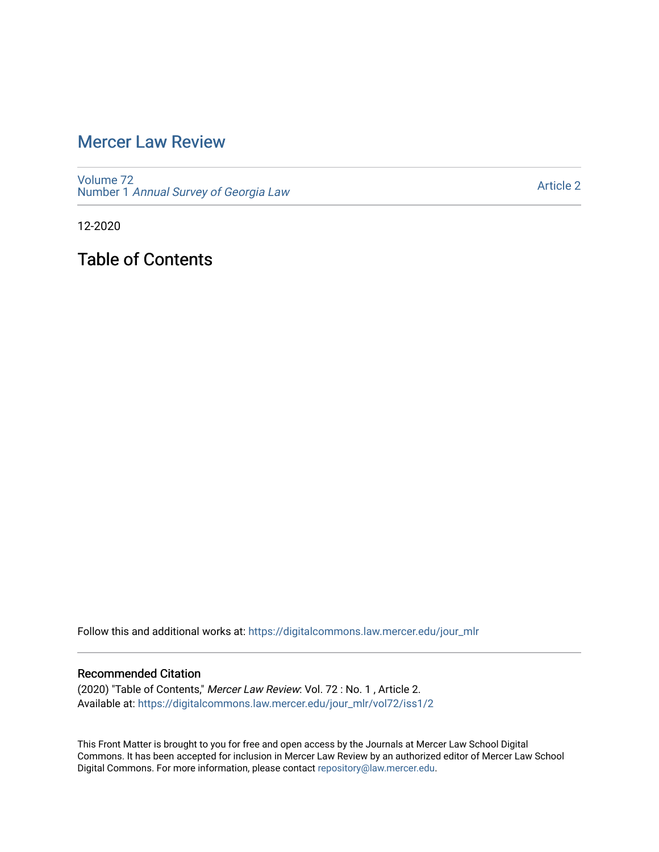## [Mercer Law Review](https://digitalcommons.law.mercer.edu/jour_mlr)

[Volume 72](https://digitalcommons.law.mercer.edu/jour_mlr/vol72) Number 1 [Annual Survey of Georgia Law](https://digitalcommons.law.mercer.edu/jour_mlr/vol72/iss1) 

[Article 2](https://digitalcommons.law.mercer.edu/jour_mlr/vol72/iss1/2) 

12-2020

Table of Contents

Follow this and additional works at: [https://digitalcommons.law.mercer.edu/jour\\_mlr](https://digitalcommons.law.mercer.edu/jour_mlr?utm_source=digitalcommons.law.mercer.edu%2Fjour_mlr%2Fvol72%2Fiss1%2F2&utm_medium=PDF&utm_campaign=PDFCoverPages)

## Recommended Citation

(2020) "Table of Contents," Mercer Law Review: Vol. 72 : No. 1 , Article 2. Available at: [https://digitalcommons.law.mercer.edu/jour\\_mlr/vol72/iss1/2](https://digitalcommons.law.mercer.edu/jour_mlr/vol72/iss1/2?utm_source=digitalcommons.law.mercer.edu%2Fjour_mlr%2Fvol72%2Fiss1%2F2&utm_medium=PDF&utm_campaign=PDFCoverPages)

This Front Matter is brought to you for free and open access by the Journals at Mercer Law School Digital Commons. It has been accepted for inclusion in Mercer Law Review by an authorized editor of Mercer Law School Digital Commons. For more information, please contact [repository@law.mercer.edu](mailto:repository@law.mercer.edu).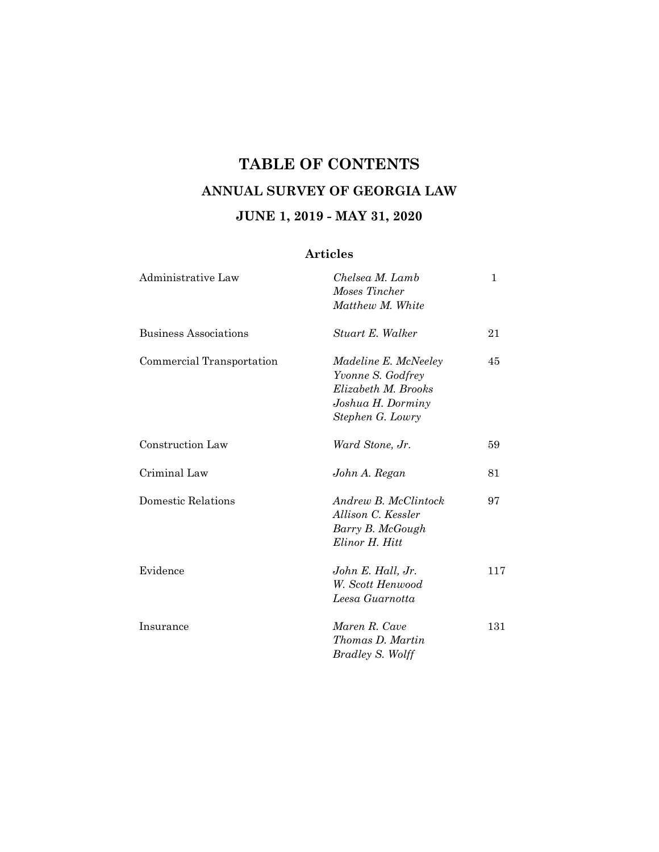## **TABLE OF CONTENTS ANNUAL SURVEY OF GEORGIA LAW JUNE 1, 2019 - MAY 31, 2020**

## **Articles**

| Administrative Law           | Chelsea M. Lamb<br>Moses Tincher<br>Matthew M. White                                                             | 1   |
|------------------------------|------------------------------------------------------------------------------------------------------------------|-----|
| <b>Business Associations</b> | Stuart E. Walker                                                                                                 | 21  |
| Commercial Transportation    | <i>Madeline E. McNeeley</i><br>Yvonne S. Godfrey<br>Elizabeth M. Brooks<br>Joshua H. Dorminy<br>Stephen G. Lowry | 45  |
| Construction Law             | Ward Stone, Jr.                                                                                                  | 59  |
| Criminal Law                 | John A. Regan                                                                                                    | 81  |
| Domestic Relations           | Andrew B. McClintock<br>Allison C. Kessler<br>Barry B. McGough<br>Elinor H. Hitt                                 | 97  |
| Evidence                     | John E. Hall, Jr.<br>W. Scott Henwood<br>Leesa Guarnotta                                                         | 117 |
| Insurance                    | Maren R. Cave<br>Thomas D. Martin<br>Bradley S. Wolff                                                            | 131 |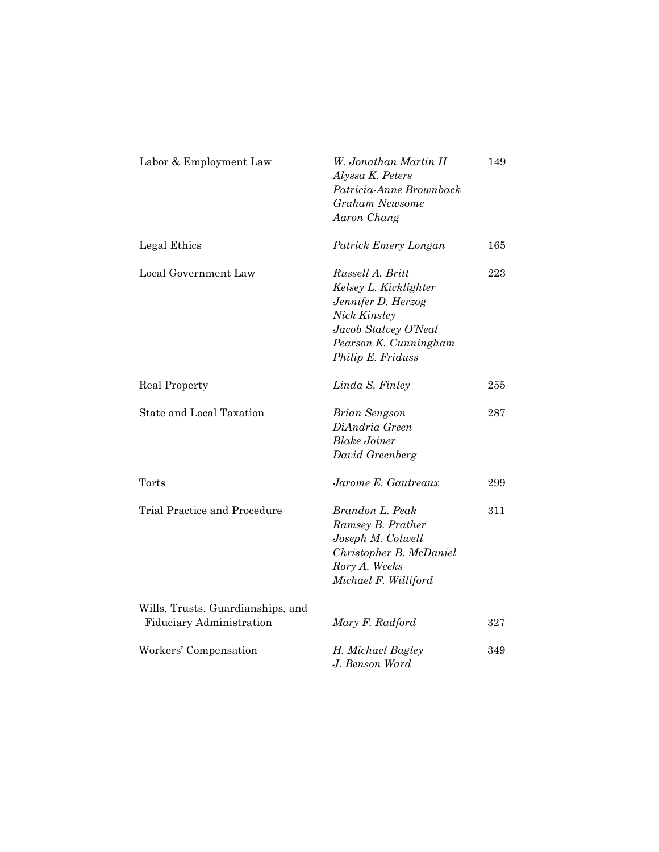| Labor & Employment Law                                               | W. Jonathan Martin II<br>Alyssa K. Peters<br>Patricia-Anne Brownback<br>Graham Newsome<br>Aaron Chang                                                 | 149 |
|----------------------------------------------------------------------|-------------------------------------------------------------------------------------------------------------------------------------------------------|-----|
| Legal Ethics                                                         | Patrick Emery Longan                                                                                                                                  | 165 |
| Local Government Law                                                 | Russell A. Britt<br>Kelsey L. Kicklighter<br>Jennifer D. Herzog<br>Nick Kinsley<br>Jacob Stalvey O'Neal<br>Pearson K. Cunningham<br>Philip E. Friduss | 223 |
| Real Property                                                        | Linda S. Finley                                                                                                                                       | 255 |
| State and Local Taxation                                             | Brian Sengson<br>DiAndria Green<br><b>Blake Joiner</b><br>David Greenberg                                                                             | 287 |
| Torts                                                                | Jarome E. Gautreaux                                                                                                                                   | 299 |
| Trial Practice and Procedure                                         | Brandon L. Peak<br>Ramsey B. Prather<br>Joseph M. Colwell<br>Christopher B. McDaniel<br>Rory A. Weeks<br>Michael F. Williford                         | 311 |
| Wills, Trusts, Guardianships, and<br><b>Fiduciary Administration</b> | Mary F. Radford                                                                                                                                       | 327 |
| Workers' Compensation                                                | H. Michael Bagley<br>J. Benson Ward                                                                                                                   | 349 |